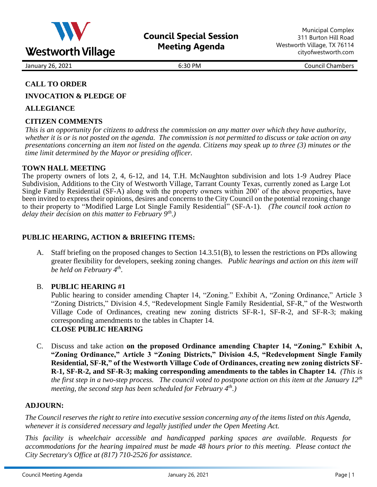

January 26, 2021 **6:30 PM** 6:30 PM Council Chambers

# **CALL TO ORDER**

**INVOCATION & PLEDGE OF**

## **ALLEGIANCE**

# **CITIZEN COMMENTS**

*This is an opportunity for citizens to address the commission on any matter over which they have authority, whether it is or is not posted on the agenda. The commission is not permitted to discuss or take action on any presentations concerning an item not listed on the agenda. Citizens may speak up to three (3) minutes or the time limit determined by the Mayor or presiding officer.*

### **TOWN HALL MEETING**

The property owners of lots 2, 4, 6-12, and 14, T.H. McNaughton subdivision and lots 1-9 Audrey Place Subdivision, Additions to the City of Westworth Village, Tarrant County Texas, currently zoned as Large Lot Single Family Residential (SF-A) along with the property owners within 200' of the above properties, have been invited to express their opinions, desires and concerns to the City Council on the potential rezoning change to their property to "Modified Large Lot Single Family Residential" (SF-A-1). *(The council took action to delay their decision on this matter to February 9th .)*

## **PUBLIC HEARING, ACTION & BRIEFING ITEMS:**

A. Staff briefing on the proposed changes to Section 14.3.51(B), to lessen the restrictions on PDs allowing greater flexibility for developers, seeking zoning changes. *Public hearings and action on this item will be held on February 4th .* 

## B. **PUBLIC HEARING #1**

Public hearing to consider amending Chapter 14, "Zoning." Exhibit A, "Zoning Ordinance," Article 3 "Zoning Districts," Division 4.5, "Redevelopment Single Family Residential, SF-R," of the Westworth Village Code of Ordinances, creating new zoning districts SF-R-1, SF-R-2, and SF-R-3; making corresponding amendments to the tables in Chapter 14. **CLOSE PUBLIC HEARING**

C. Discuss and take action **on the proposed Ordinance amending Chapter 14, "Zoning." Exhibit A, "Zoning Ordinance," Article 3 "Zoning Districts," Division 4.5, "Redevelopment Single Family Residential, SF-R," of the Westworth Village Code of Ordinances, creating new zoning districts SF-R-1, SF-R-2, and SF-R-3; making corresponding amendments to the tables in Chapter 14.** *(This is the first step in a two-step process. The council voted to postpone action on this item at the January 12th meeting, the second step has been scheduled for February 4th.)*

#### **ADJOURN:**

*The Council reserves the right to retire into executive session concerning any of the items listed on this Agenda, whenever it is considered necessary and legally justified under the Open Meeting Act.*

*This facility is wheelchair accessible and handicapped parking spaces are available. Requests for accommodations for the hearing impaired must be made 48 hours prior to this meeting. Please contact the City Secretary's Office at (817) 710-2526 for assistance.*